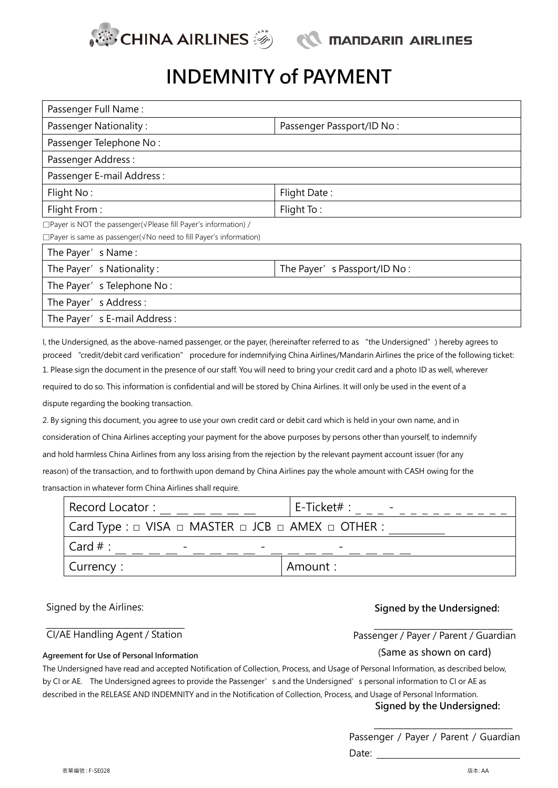

# **INDEMNITY of PAYMENT**

| Passenger Full Name:                                                             |                             |
|----------------------------------------------------------------------------------|-----------------------------|
| <b>Passenger Nationality:</b>                                                    | Passenger Passport/ID No:   |
| Passenger Telephone No:                                                          |                             |
| Passenger Address:                                                               |                             |
| Passenger E-mail Address:                                                        |                             |
| Flight No:                                                                       | Flight Date:                |
| Flight From:                                                                     | Flight To:                  |
| $\Box$ Payer is NOT the passenger( $\sqrt{P}$ Please fill Payer's information) / |                             |
| □ Payer is same as passenger( $\sqrt{N}$ o need to fill Payer's information)     |                             |
| The Payer's Name:                                                                |                             |
| The Payer's Nationality:                                                         | The Payer's Passport/ID No: |
| The Payer's Telephone No:                                                        |                             |
| The Payer's Address:                                                             |                             |

The Payer's E-mail Address:

I, the Undersigned, as the above-named passenger, or the payer, (hereinafter referred to as "the Undersigned") hereby agrees to proceed "credit/debit card verification" procedure for indemnifying China Airlines/Mandarin Airlines the price of the following ticket: 1. Please sign the document in the presence of our staff. You will need to bring your credit card and a photo ID as well, wherever required to do so. This information is confidential and will be stored by China Airlines. It will only be used in the event of a dispute regarding the booking transaction.

2. By signing this document, you agree to use your own credit card or debit card which is held in your own name, and in consideration of China Airlines accepting your payment for the above purposes by persons other than yourself, to indemnify and hold harmless China Airlines from any loss arising from the rejection by the relevant payment account issuer (for any reason) of the transaction, and to forthwith upon demand by China Airlines pay the whole amount with CASH owing for the transaction in whatever form China Airlines shall require.

| Record Locator:                                                                          | E-Ticket# : |
|------------------------------------------------------------------------------------------|-------------|
| $\vert$ Card Type : $\vert$ VISA $\vert$ MASTER $\vert$ JCB $\vert$ AMEX $\vert$ OTHER : |             |
| Card $#$ :                                                                               |             |
| Currency:                                                                                | ' Amount :  |

### Signed by the Airlines: **Signed by the Undersigned:**

#### CI/AE Handling Agent / Station

**Agreement for Use of Personal Information**

#### Passenger / Payer / Parent / Guardian

#### (Same as shown on card)

The Undersigned have read and accepted Notification of Collection, Process, and Usage of Personal Information, as described below, by CI or AE. The Undersigned agrees to provide the Passenger's and the Undersigned's personal information to CI or AE as described in the RELEASE AND INDEMNITY and in the Notification of Collection, Process, and Usage of Personal Information. **Signed by the Undersigned:**

> Passenger / Payer / Parent / Guardian Date:

 $\mathcal{L}_\text{max}$